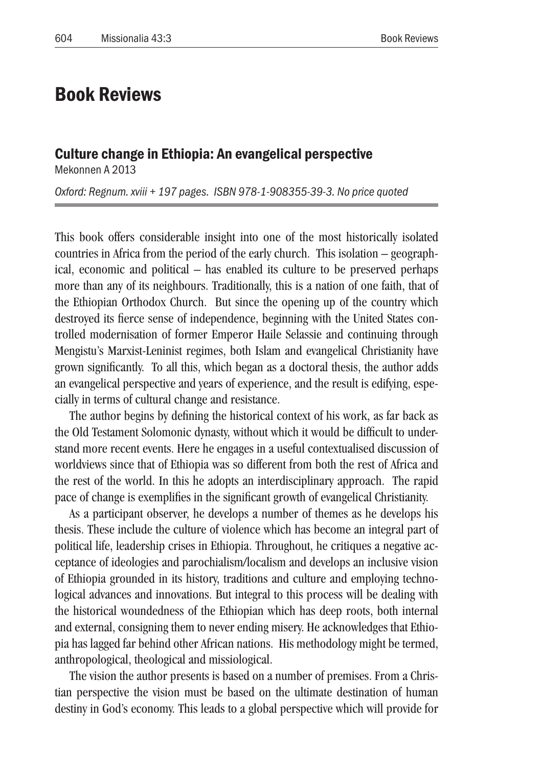## Book Reviews

## Culture change in Ethiopia: An evangelical perspective

Mekonnen A 2013

*Oxford: Regnum. xviii + 197 pages. ISBN 978-1-908355-39-3. No price quoted* 

This book offers considerable insight into one of the most historically isolated countries in Africa from the period of the early church. This isolation – geographical, economic and political – has enabled its culture to be preserved perhaps more than any of its neighbours. Traditionally, this is a nation of one faith, that of the Ethiopian Orthodox Church. But since the opening up of the country which destroyed its fierce sense of independence, beginning with the United States controlled modernisation of former Emperor Haile Selassie and continuing through Mengistu's Marxist-Leninist regimes, both Islam and evangelical Christianity have grown significantly. To all this, which began as a doctoral thesis, the author adds an evangelical perspective and years of experience, and the result is edifying, especially in terms of cultural change and resistance.

The author begins by defining the historical context of his work, as far back as the Old Testament Solomonic dynasty, without which it would be difficult to understand more recent events. Here he engages in a useful contextualised discussion of worldviews since that of Ethiopia was so different from both the rest of Africa and the rest of the world. In this he adopts an interdisciplinary approach. The rapid pace of change is exemplifies in the significant growth of evangelical Christianity.

As a participant observer, he develops a number of themes as he develops his thesis. These include the culture of violence which has become an integral part of political life, leadership crises in Ethiopia. Throughout, he critiques a negative acceptance of ideologies and parochialism/localism and develops an inclusive vision of Ethiopia grounded in its history, traditions and culture and employing technological advances and innovations. But integral to this process will be dealing with the historical woundedness of the Ethiopian which has deep roots, both internal and external, consigning them to never ending misery. He acknowledges that Ethiopia has lagged far behind other African nations. His methodology might be termed, anthropological, theological and missiological.

The vision the author presents is based on a number of premises. From a Christian perspective the vision must be based on the ultimate destination of human destiny in God's economy. This leads to a global perspective which will provide for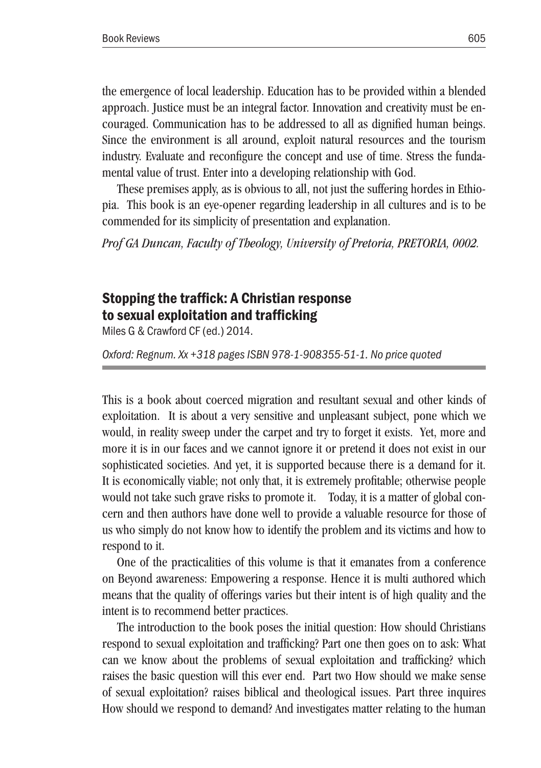the emergence of local leadership. Education has to be provided within a blended approach. Justice must be an integral factor. Innovation and creativity must be encouraged. Communication has to be addressed to all as dignified human beings. Since the environment is all around, exploit natural resources and the tourism industry. Evaluate and reconfigure the concept and use of time. Stress the fundamental value of trust. Enter into a developing relationship with God.

These premises apply, as is obvious to all, not just the suffering hordes in Ethiopia. This book is an eye-opener regarding leadership in all cultures and is to be commended for its simplicity of presentation and explanation.

*Prof GA Duncan, Faculty of Theology, University of Pretoria, PRETORIA, 0002.*

## Stopping the traffick: A Christian response to sexual exploitation and trafficking

Miles G & Crawford CF (ed.) 2014.

*Oxford: Regnum. Xx +318 pages ISBN 978-1-908355-51-1. No price quoted*

This is a book about coerced migration and resultant sexual and other kinds of exploitation. It is about a very sensitive and unpleasant subject, pone which we would, in reality sweep under the carpet and try to forget it exists. Yet, more and more it is in our faces and we cannot ignore it or pretend it does not exist in our sophisticated societies. And yet, it is supported because there is a demand for it. It is economically viable; not only that, it is extremely profitable; otherwise people would not take such grave risks to promote it. Today, it is a matter of global concern and then authors have done well to provide a valuable resource for those of us who simply do not know how to identify the problem and its victims and how to respond to it.

One of the practicalities of this volume is that it emanates from a conference on Beyond awareness: Empowering a response. Hence it is multi authored which means that the quality of offerings varies but their intent is of high quality and the intent is to recommend better practices.

The introduction to the book poses the initial question: How should Christians respond to sexual exploitation and trafficking? Part one then goes on to ask: What can we know about the problems of sexual exploitation and trafficking? which raises the basic question will this ever end. Part two How should we make sense of sexual exploitation? raises biblical and theological issues. Part three inquires How should we respond to demand? And investigates matter relating to the human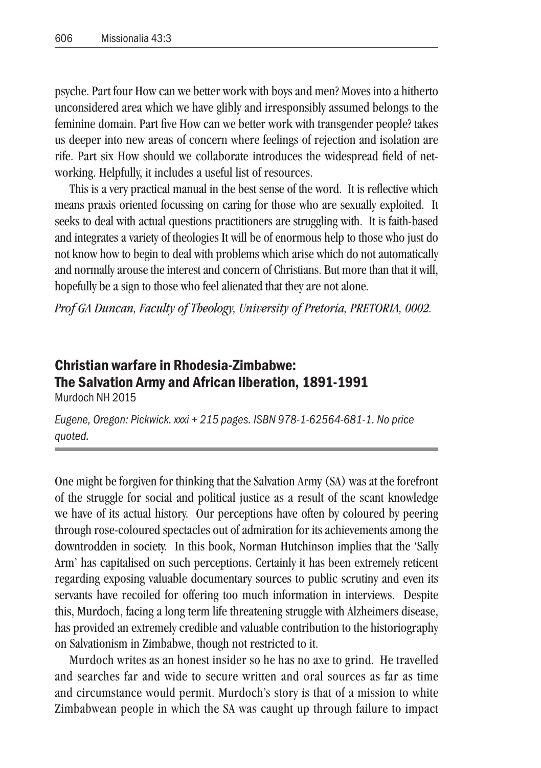psyche. Part four How can we better work with boys and men? Moves into a hitherto unconsidered area which we have glibly and irresponsibly assumed belongs to the feminine domain. Part five How can we better work with transgender people? takes us deeper into new areas of concern where feelings of rejection and isolation are rife. Part six How should we collaborate introduces the widespread field of networking. Helpfully, it includes a useful list of resources.

This is a very practical manual in the best sense of the word. It is reflective which means praxis oriented focussing on caring for those who are sexually exploited. It seeks to deal with actual questions practitioners are struggling with. It is faith-based and integrates a variety of theologies It will be of enormous help to those who just do not know how to begin to deal with problems which arise which do not automatically and normally arouse the interest and concern of Christians. But more than that it will, hopefully be a sign to those who feel alienated that they are not alone.

*Prof GA Duncan, Faculty of Theology, University of Pretoria, PRETORIA, 0002.*

## Christian warfare in Rhodesia-Zimbabwe: The Salvation Army and African liberation, 1891-1991 Murdoch NH 2015

*Eugene, Oregon: Pickwick. xxxi + 215 pages. ISBN 978-1-62564-681-1. No price quoted.*

One might be forgiven for thinking that the Salvation Army (SA) was at the forefront of the struggle for social and political justice as a result of the scant knowledge we have of its actual history. Our perceptions have often by coloured by peering through rose-coloured spectacles out of admiration for its achievements among the downtrodden in society. In this book, Norman Hutchinson implies that the 'Sally Arm' has capitalised on such perceptions. Certainly it has been extremely reticent regarding exposing valuable documentary sources to public scrutiny and even its servants have recoiled for offering too much information in interviews. Despite this, Murdoch, facing a long term life threatening struggle with Alzheimers disease, has provided an extremely credible and valuable contribution to the historiography on Salvationism in Zimbabwe, though not restricted to it.

Murdoch writes as an honest insider so he has no axe to grind. He travelled and searches far and wide to secure written and oral sources as far as time and circumstance would permit. Murdoch's story is that of a mission to white Zimbabwean people in which the SA was caught up through failure to impact